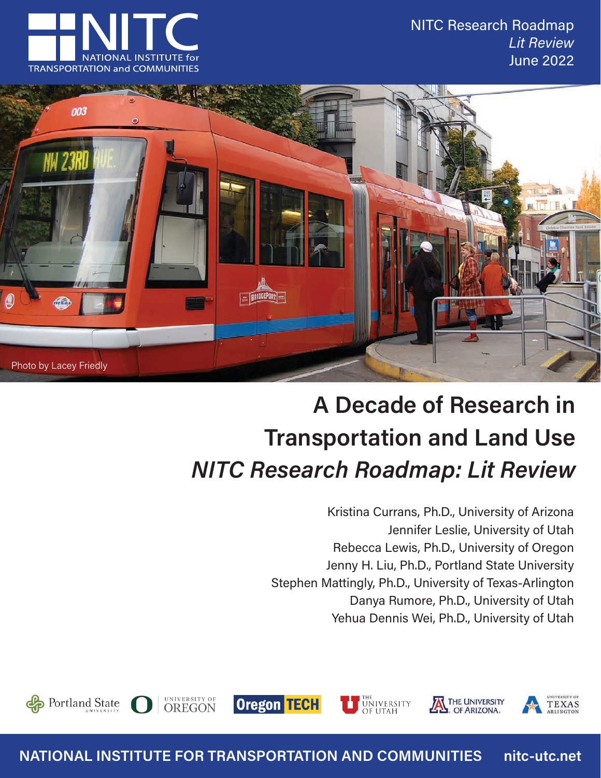NITC Research Roadmap *Lit Review* June 2022





# **A Decade of Research in Transportation and Land Use** *NITC Research Roadmap: Lit Review*

UNIVERSITY

Kristina Currans, Ph.D., University of Arizona Jennifer Leslie, University of Utah Rebecca Lewis, Ph.D., University of Oregon Jenny H. Liu, Ph.D., Portland State University Stephen Mattingly, Ph.D., University of Texas-Arlington Danya Rumore, Ph.D., University of Utah Yehua Dennis Wei, Ph.D., University of Utah





**NATIONAL INSTITUTE FOR TRANSPORTATION AND COMMUNITIES nitc-utc.net** 

**Oregon TECH** 

UNIVERSITY OF<br>**OREGON** 

Portland State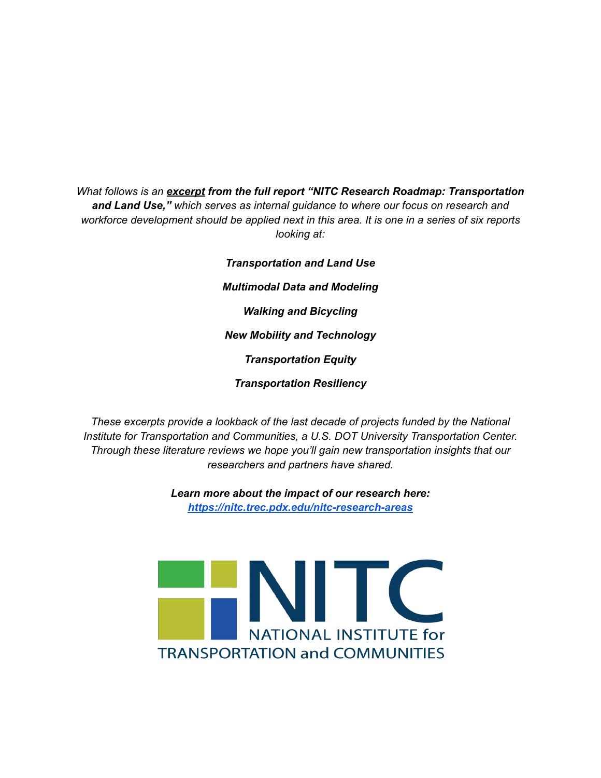*What follows is an excerpt from the full report "NITC Research Roadmap: Transportation and Land Use," which serves as internal guidance to where our focus on research and workforce development should be applied next in this area. It is one in a series of six reports looking at:*

> *Transportation and Land Use Multimodal Data and Modeling Walking and Bicycling New Mobility and Technology Transportation Equity Transportation Resiliency*

*These excerpts provide a lookback of the last decade of projects funded by the National Institute for Transportation and Communities, a U.S. DOT University Transportation Center. Through these literature reviews we hope you'll gain new transportation insights that our researchers and partners have shared.*

> *Learn more about the impact of our research here: <https://nitc.trec.pdx.edu/nitc-research-areas>*

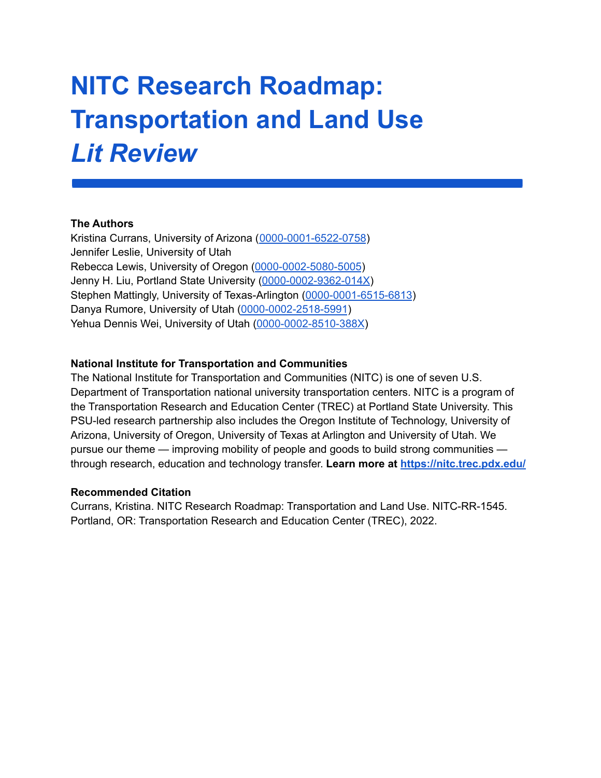# **NITC Research Roadmap: Transportation and Land Use** *Lit Review*

#### **The Authors**

Kristina Currans, University of Arizona ([0000-0001-6522-0758](https://orcid.org/0000-0001-6522-0758)) Jennifer Leslie, University of Utah Rebecca Lewis, University of Oregon ([0000-0002-5080-5005](https://orcid.org/0000-0002-5080-5005)) Jenny H. Liu, Portland State University ([0000-0002-9362-014X\)](https://orcid.org/0000-0002-9362-014X) Stephen Mattingly, University of Texas-Arlington [\(0000-0001-6515-6813](https://orcid.org/0000-0001-6515-6813)) Danya Rumore, University of Utah [\(0000-0002-2518-5991](https://orcid.org/0000-0002-2518-5991)) Yehua Dennis Wei, University of Utah [\(0000-0002-8510-388X](https://orcid.org/0000-0002-8510-388X))

#### **National Institute for Transportation and Communities**

The National Institute for Transportation and Communities (NITC) is one of seven U.S. Department of Transportation national university transportation centers. NITC is a program of the Transportation Research and Education Center (TREC) at Portland State University. This PSU-led research partnership also includes the Oregon Institute of Technology, University of Arizona, University of Oregon, University of Texas at Arlington and University of Utah. We pursue our theme — improving mobility of people and goods to build strong communities through research, education and technology transfer. **Learn more at <https://nitc.trec.pdx.edu/>**

#### **Recommended Citation**

Currans, Kristina. NITC Research Roadmap: Transportation and Land Use. NITC-RR-1545. Portland, OR: Transportation Research and Education Center (TREC), 2022.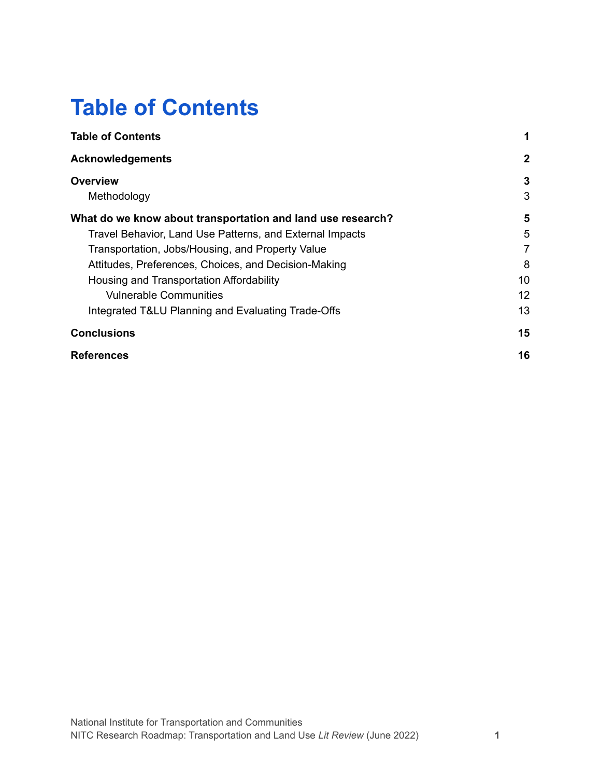### <span id="page-3-0"></span>**Table of Contents**

| <b>Table of Contents</b>                                    |              |
|-------------------------------------------------------------|--------------|
| <b>Acknowledgements</b>                                     | $\mathbf{2}$ |
| <b>Overview</b>                                             | 3            |
| Methodology                                                 | 3            |
| What do we know about transportation and land use research? | 5            |
| Travel Behavior, Land Use Patterns, and External Impacts    | 5            |
| Transportation, Jobs/Housing, and Property Value            | 7            |
| Attitudes, Preferences, Choices, and Decision-Making        | 8            |
| Housing and Transportation Affordability                    | 10           |
| <b>Vulnerable Communities</b>                               | 12           |
| Integrated T&LU Planning and Evaluating Trade-Offs          | 13           |
| <b>Conclusions</b>                                          | 15           |
| <b>References</b>                                           | 16           |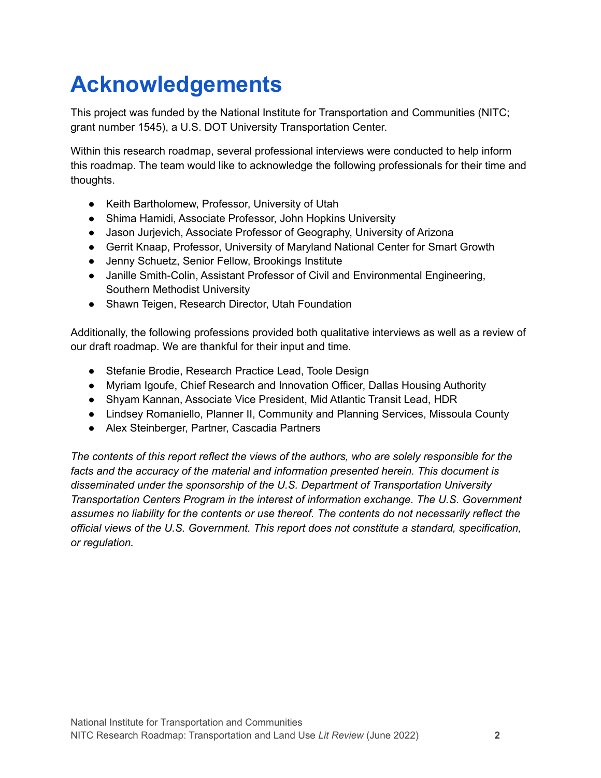## <span id="page-4-0"></span>**Acknowledgements**

This project was funded by the National Institute for Transportation and Communities (NITC; grant number 1545), a U.S. DOT University Transportation Center.

Within this research roadmap, several professional interviews were conducted to help inform this roadmap. The team would like to acknowledge the following professionals for their time and thoughts.

- Keith Bartholomew, Professor, University of Utah
- Shima Hamidi, Associate Professor, John Hopkins University
- Jason Jurjevich, Associate Professor of Geography, University of Arizona
- Gerrit Knaap, Professor, University of Maryland National Center for Smart Growth
- Jenny Schuetz, Senior Fellow, Brookings Institute
- Janille Smith-Colin, Assistant Professor of Civil and Environmental Engineering, Southern Methodist University
- Shawn Teigen, Research Director, Utah Foundation

Additionally, the following professions provided both qualitative interviews as well as a review of our draft roadmap. We are thankful for their input and time.

- Stefanie Brodie, Research Practice Lead, Toole Design
- Myriam Igoufe, Chief Research and Innovation Officer, Dallas Housing Authority
- Shyam Kannan, Associate Vice President, Mid Atlantic Transit Lead, HDR
- Lindsey Romaniello, Planner II, Community and Planning Services, Missoula County
- Alex Steinberger, Partner, Cascadia Partners

*The contents of this report reflect the views of the authors, who are solely responsible for the facts and the accuracy of the material and information presented herein. This document is disseminated under the sponsorship of the U.S. Department of Transportation University Transportation Centers Program in the interest of information exchange. The U.S. Government assumes no liability for the contents or use thereof. The contents do not necessarily reflect the official views of the U.S. Government. This report does not constitute a standard, specification, or regulation.*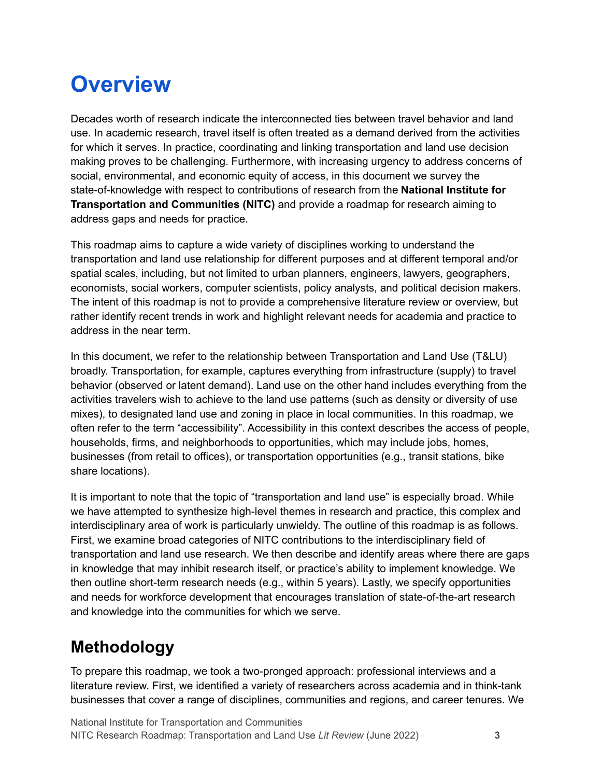## <span id="page-5-0"></span>**Overview**

Decades worth of research indicate the interconnected ties between travel behavior and land use. In academic research, travel itself is often treated as a demand derived from the activities for which it serves. In practice, coordinating and linking transportation and land use decision making proves to be challenging. Furthermore, with increasing urgency to address concerns of social, environmental, and economic equity of access, in this document we survey the state-of-knowledge with respect to contributions of research from the **National Institute for Transportation and Communities (NITC)** and provide a roadmap for research aiming to address gaps and needs for practice.

This roadmap aims to capture a wide variety of disciplines working to understand the transportation and land use relationship for different purposes and at different temporal and/or spatial scales, including, but not limited to urban planners, engineers, lawyers, geographers, economists, social workers, computer scientists, policy analysts, and political decision makers. The intent of this roadmap is not to provide a comprehensive literature review or overview, but rather identify recent trends in work and highlight relevant needs for academia and practice to address in the near term.

In this document, we refer to the relationship between Transportation and Land Use (T&LU) broadly. Transportation, for example, captures everything from infrastructure (supply) to travel behavior (observed or latent demand). Land use on the other hand includes everything from the activities travelers wish to achieve to the land use patterns (such as density or diversity of use mixes), to designated land use and zoning in place in local communities. In this roadmap, we often refer to the term "accessibility". Accessibility in this context describes the access of people, households, firms, and neighborhoods to opportunities, which may include jobs, homes, businesses (from retail to offices), or transportation opportunities (e.g., transit stations, bike share locations).

It is important to note that the topic of "transportation and land use" is especially broad. While we have attempted to synthesize high-level themes in research and practice, this complex and interdisciplinary area of work is particularly unwieldy. The outline of this roadmap is as follows. First, we examine broad categories of NITC contributions to the interdisciplinary field of transportation and land use research. We then describe and identify areas where there are gaps in knowledge that may inhibit research itself, or practice's ability to implement knowledge. We then outline short-term research needs (e.g., within 5 years). Lastly, we specify opportunities and needs for workforce development that encourages translation of state-of-the-art research and knowledge into the communities for which we serve.

### <span id="page-5-1"></span>**Methodology**

To prepare this roadmap, we took a two-pronged approach: professional interviews and a literature review. First, we identified a variety of researchers across academia and in think-tank businesses that cover a range of disciplines, communities and regions, and career tenures. We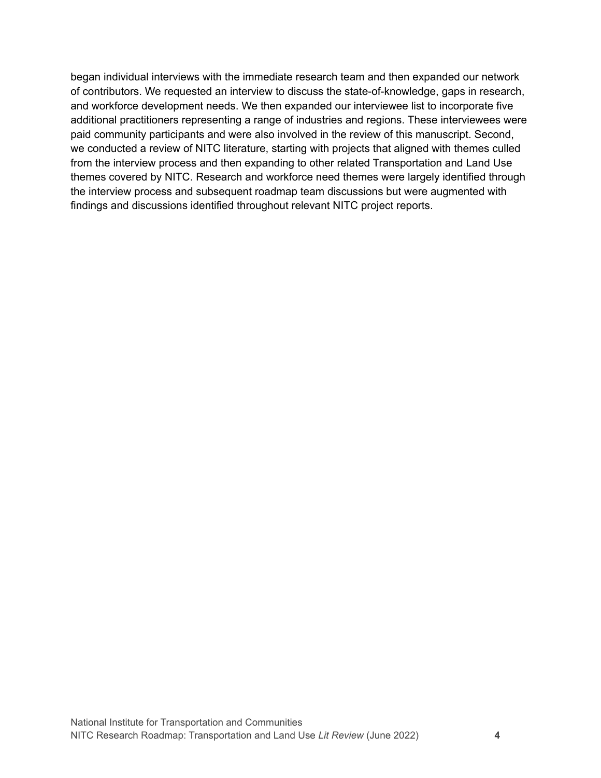began individual interviews with the immediate research team and then expanded our network of contributors. We requested an interview to discuss the state-of-knowledge, gaps in research, and workforce development needs. We then expanded our interviewee list to incorporate five additional practitioners representing a range of industries and regions. These interviewees were paid community participants and were also involved in the review of this manuscript. Second, we conducted a review of NITC literature, starting with projects that aligned with themes culled from the interview process and then expanding to other related Transportation and Land Use themes covered by NITC. Research and workforce need themes were largely identified through the interview process and subsequent roadmap team discussions but were augmented with findings and discussions identified throughout relevant NITC project reports.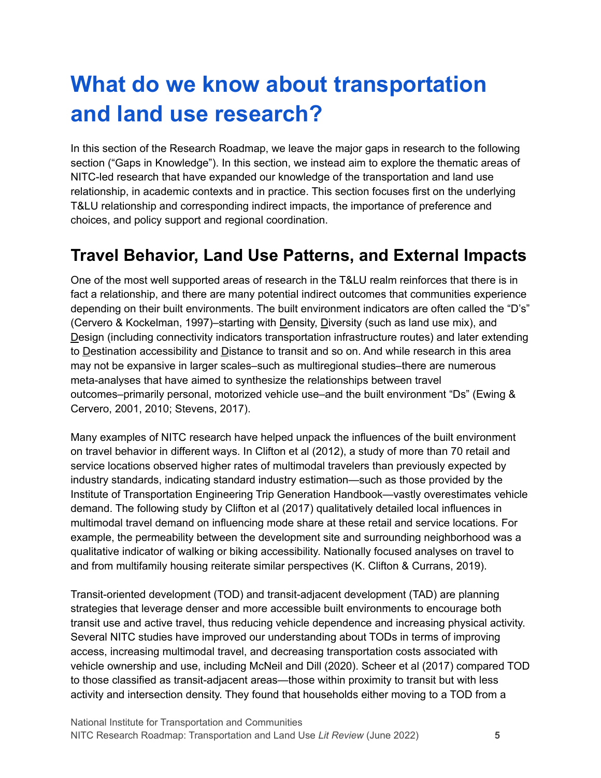## <span id="page-7-0"></span>**What do we know about transportation and land use research?**

In this section of the Research Roadmap, we leave the major gaps in research to the following section ("Gaps in Knowledge"). In this section, we instead aim to explore the thematic areas of NITC-led research that have expanded our knowledge of the transportation and land use relationship, in academic contexts and in practice. This section focuses first on the underlying T&LU relationship and corresponding indirect impacts, the importance of preference and choices, and policy support and regional coordination.

#### <span id="page-7-1"></span>**Travel Behavior, Land Use Patterns, and External Impacts**

One of the most well supported areas of research in the T&LU realm reinforces that there is in fact a relationship, and there are many potential indirect outcomes that communities experience depending on their built environments. The built environment indicators are often called the "D's" (Cervero & Kockelman, 1997)–starting with Density, Diversity (such as land use mix), and Design (including connectivity indicators transportation infrastructure routes) and later extending to Destination accessibility and Distance to transit and so on. And while research in this area may not be expansive in larger scales–such as multiregional studies–there are numerous meta-analyses that have aimed to synthesize the relationships between travel outcomes–primarily personal, motorized vehicle use–and the built environment "Ds" (Ewing & Cervero, 2001, 2010; Stevens, 2017).

Many examples of NITC research have helped unpack the influences of the built environment on travel behavior in different ways. In Clifton et al (2012), a study of more than 70 retail and service locations observed higher rates of multimodal travelers than previously expected by industry standards, indicating standard industry estimation—such as those provided by the Institute of Transportation Engineering Trip Generation Handbook—vastly overestimates vehicle demand. The following study by Clifton et al (2017) qualitatively detailed local influences in multimodal travel demand on influencing mode share at these retail and service locations. For example, the permeability between the development site and surrounding neighborhood was a qualitative indicator of walking or biking accessibility. Nationally focused analyses on travel to and from multifamily housing reiterate similar perspectives (K. Clifton & Currans, 2019).

Transit-oriented development (TOD) and transit-adjacent development (TAD) are planning strategies that leverage denser and more accessible built environments to encourage both transit use and active travel, thus reducing vehicle dependence and increasing physical activity. Several NITC studies have improved our understanding about TODs in terms of improving access, increasing multimodal travel, and decreasing transportation costs associated with vehicle ownership and use, including McNeil and Dill (2020). Scheer et al (2017) compared TOD to those classified as transit-adjacent areas—those within proximity to transit but with less activity and intersection density. They found that households either moving to a TOD from a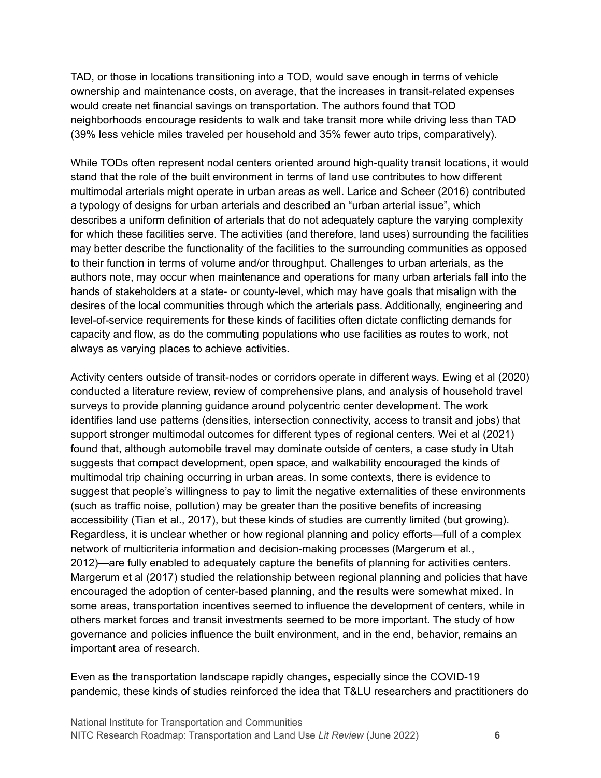TAD, or those in locations transitioning into a TOD, would save enough in terms of vehicle ownership and maintenance costs, on average, that the increases in transit-related expenses would create net financial savings on transportation. The authors found that TOD neighborhoods encourage residents to walk and take transit more while driving less than TAD (39% less vehicle miles traveled per household and 35% fewer auto trips, comparatively).

While TODs often represent nodal centers oriented around high-quality transit locations, it would stand that the role of the built environment in terms of land use contributes to how different multimodal arterials might operate in urban areas as well. Larice and Scheer (2016) contributed a typology of designs for urban arterials and described an "urban arterial issue", which describes a uniform definition of arterials that do not adequately capture the varying complexity for which these facilities serve. The activities (and therefore, land uses) surrounding the facilities may better describe the functionality of the facilities to the surrounding communities as opposed to their function in terms of volume and/or throughput. Challenges to urban arterials, as the authors note, may occur when maintenance and operations for many urban arterials fall into the hands of stakeholders at a state- or county-level, which may have goals that misalign with the desires of the local communities through which the arterials pass. Additionally, engineering and level-of-service requirements for these kinds of facilities often dictate conflicting demands for capacity and flow, as do the commuting populations who use facilities as routes to work, not always as varying places to achieve activities.

Activity centers outside of transit-nodes or corridors operate in different ways. Ewing et al (2020) conducted a literature review, review of comprehensive plans, and analysis of household travel surveys to provide planning guidance around polycentric center development. The work identifies land use patterns (densities, intersection connectivity, access to transit and jobs) that support stronger multimodal outcomes for different types of regional centers. Wei et al (2021) found that, although automobile travel may dominate outside of centers, a case study in Utah suggests that compact development, open space, and walkability encouraged the kinds of multimodal trip chaining occurring in urban areas. In some contexts, there is evidence to suggest that people's willingness to pay to limit the negative externalities of these environments (such as traffic noise, pollution) may be greater than the positive benefits of increasing accessibility (Tian et al., 2017), but these kinds of studies are currently limited (but growing). Regardless, it is unclear whether or how regional planning and policy efforts—full of a complex network of multicriteria information and decision-making processes (Margerum et al., 2012)—are fully enabled to adequately capture the benefits of planning for activities centers. Margerum et al (2017) studied the relationship between regional planning and policies that have encouraged the adoption of center-based planning, and the results were somewhat mixed. In some areas, transportation incentives seemed to influence the development of centers, while in others market forces and transit investments seemed to be more important. The study of how governance and policies influence the built environment, and in the end, behavior, remains an important area of research.

Even as the transportation landscape rapidly changes, especially since the COVID-19 pandemic, these kinds of studies reinforced the idea that T&LU researchers and practitioners do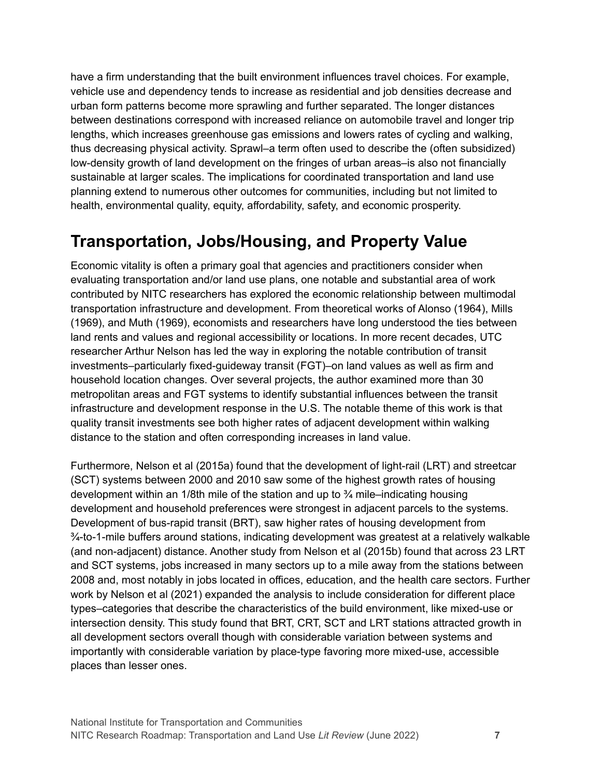have a firm understanding that the built environment influences travel choices. For example, vehicle use and dependency tends to increase as residential and job densities decrease and urban form patterns become more sprawling and further separated. The longer distances between destinations correspond with increased reliance on automobile travel and longer trip lengths, which increases greenhouse gas emissions and lowers rates of cycling and walking, thus decreasing physical activity. Sprawl–a term often used to describe the (often subsidized) low-density growth of land development on the fringes of urban areas–is also not financially sustainable at larger scales. The implications for coordinated transportation and land use planning extend to numerous other outcomes for communities, including but not limited to health, environmental quality, equity, affordability, safety, and economic prosperity.

#### <span id="page-9-0"></span>**Transportation, Jobs/Housing, and Property Value**

Economic vitality is often a primary goal that agencies and practitioners consider when evaluating transportation and/or land use plans, one notable and substantial area of work contributed by NITC researchers has explored the economic relationship between multimodal transportation infrastructure and development. From theoretical works of Alonso (1964), Mills (1969), and Muth (1969), economists and researchers have long understood the ties between land rents and values and regional accessibility or locations. In more recent decades, UTC researcher Arthur Nelson has led the way in exploring the notable contribution of transit investments–particularly fixed-guideway transit (FGT)–on land values as well as firm and household location changes. Over several projects, the author examined more than 30 metropolitan areas and FGT systems to identify substantial influences between the transit infrastructure and development response in the U.S. The notable theme of this work is that quality transit investments see both higher rates of adjacent development within walking distance to the station and often corresponding increases in land value.

Furthermore, Nelson et al (2015a) found that the development of light-rail (LRT) and streetcar (SCT) systems between 2000 and 2010 saw some of the highest growth rates of housing development within an 1/8th mile of the station and up to ¾ mile–indicating housing development and household preferences were strongest in adjacent parcels to the systems. Development of bus-rapid transit (BRT), saw higher rates of housing development from  $\frac{3}{4}$ -to-1-mile buffers around stations, indicating development was greatest at a relatively walkable (and non-adjacent) distance. Another study from Nelson et al (2015b) found that across 23 LRT and SCT systems, jobs increased in many sectors up to a mile away from the stations between 2008 and, most notably in jobs located in offices, education, and the health care sectors. Further work by Nelson et al (2021) expanded the analysis to include consideration for different place types–categories that describe the characteristics of the build environment, like mixed-use or intersection density. This study found that BRT, CRT, SCT and LRT stations attracted growth in all development sectors overall though with considerable variation between systems and importantly with considerable variation by place-type favoring more mixed-use, accessible places than lesser ones.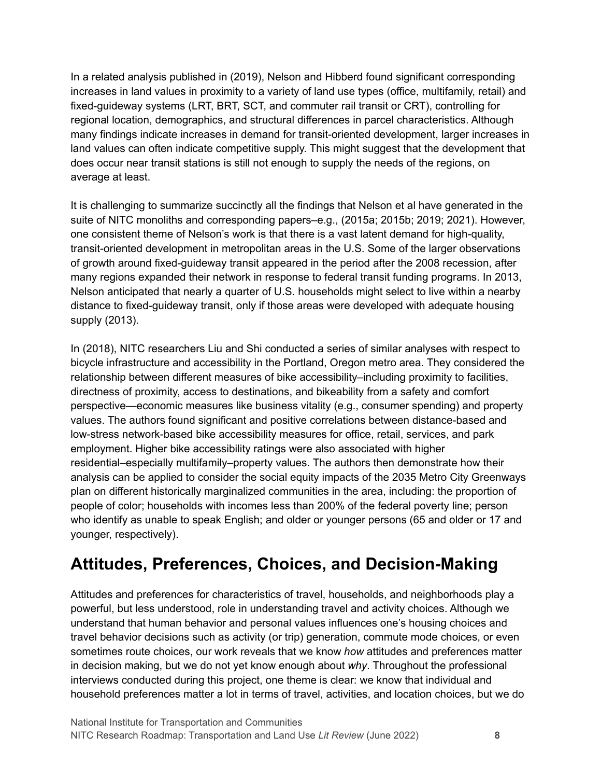In a related analysis published in (2019), Nelson and Hibberd found significant corresponding increases in land values in proximity to a variety of land use types (office, multifamily, retail) and fixed-guideway systems (LRT, BRT, SCT, and commuter rail transit or CRT), controlling for regional location, demographics, and structural differences in parcel characteristics. Although many findings indicate increases in demand for transit-oriented development, larger increases in land values can often indicate competitive supply. This might suggest that the development that does occur near transit stations is still not enough to supply the needs of the regions, on average at least.

It is challenging to summarize succinctly all the findings that Nelson et al have generated in the suite of NITC monoliths and corresponding papers–e.g., (2015a; 2015b; 2019; 2021). However, one consistent theme of Nelson's work is that there is a vast latent demand for high-quality, transit-oriented development in metropolitan areas in the U.S. Some of the larger observations of growth around fixed-guideway transit appeared in the period after the 2008 recession, after many regions expanded their network in response to federal transit funding programs. In 2013, Nelson anticipated that nearly a quarter of U.S. households might select to live within a nearby distance to fixed-guideway transit, only if those areas were developed with adequate housing supply (2013).

In (2018), NITC researchers Liu and Shi conducted a series of similar analyses with respect to bicycle infrastructure and accessibility in the Portland, Oregon metro area. They considered the relationship between different measures of bike accessibility–including proximity to facilities, directness of proximity, access to destinations, and bikeability from a safety and comfort perspective—economic measures like business vitality (e.g., consumer spending) and property values. The authors found significant and positive correlations between distance-based and low-stress network-based bike accessibility measures for office, retail, services, and park employment. Higher bike accessibility ratings were also associated with higher residential–especially multifamily–property values. The authors then demonstrate how their analysis can be applied to consider the social equity impacts of the 2035 Metro City Greenways plan on different historically marginalized communities in the area, including: the proportion of people of color; households with incomes less than 200% of the federal poverty line; person who identify as unable to speak English; and older or younger persons (65 and older or 17 and younger, respectively).

### <span id="page-10-0"></span>**Attitudes, Preferences, Choices, and Decision-Making**

Attitudes and preferences for characteristics of travel, households, and neighborhoods play a powerful, but less understood, role in understanding travel and activity choices. Although we understand that human behavior and personal values influences one's housing choices and travel behavior decisions such as activity (or trip) generation, commute mode choices, or even sometimes route choices, our work reveals that we know *how* attitudes and preferences matter in decision making, but we do not yet know enough about *why*. Throughout the professional interviews conducted during this project, one theme is clear: we know that individual and household preferences matter a lot in terms of travel, activities, and location choices, but we do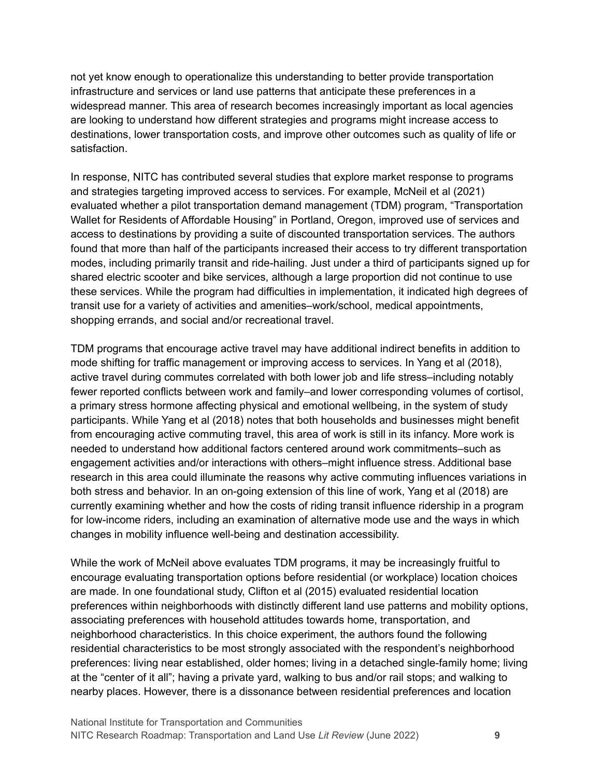not yet know enough to operationalize this understanding to better provide transportation infrastructure and services or land use patterns that anticipate these preferences in a widespread manner. This area of research becomes increasingly important as local agencies are looking to understand how different strategies and programs might increase access to destinations, lower transportation costs, and improve other outcomes such as quality of life or satisfaction.

In response, NITC has contributed several studies that explore market response to programs and strategies targeting improved access to services. For example, McNeil et al (2021) evaluated whether a pilot transportation demand management (TDM) program, "Transportation Wallet for Residents of Affordable Housing" in Portland, Oregon, improved use of services and access to destinations by providing a suite of discounted transportation services. The authors found that more than half of the participants increased their access to try different transportation modes, including primarily transit and ride-hailing. Just under a third of participants signed up for shared electric scooter and bike services, although a large proportion did not continue to use these services. While the program had difficulties in implementation, it indicated high degrees of transit use for a variety of activities and amenities–work/school, medical appointments, shopping errands, and social and/or recreational travel.

TDM programs that encourage active travel may have additional indirect benefits in addition to mode shifting for traffic management or improving access to services. In Yang et al (2018), active travel during commutes correlated with both lower job and life stress–including notably fewer reported conflicts between work and family–and lower corresponding volumes of cortisol, a primary stress hormone affecting physical and emotional wellbeing, in the system of study participants. While Yang et al (2018) notes that both households and businesses might benefit from encouraging active commuting travel, this area of work is still in its infancy. More work is needed to understand how additional factors centered around work commitments–such as engagement activities and/or interactions with others–might influence stress. Additional base research in this area could illuminate the reasons why active commuting influences variations in both stress and behavior. In an on-going extension of this line of work, Yang et al (2018) are currently examining whether and how the costs of riding transit influence ridership in a program for low-income riders, including an examination of alternative mode use and the ways in which changes in mobility influence well-being and destination accessibility.

While the work of McNeil above evaluates TDM programs, it may be increasingly fruitful to encourage evaluating transportation options before residential (or workplace) location choices are made. In one foundational study, Clifton et al (2015) evaluated residential location preferences within neighborhoods with distinctly different land use patterns and mobility options, associating preferences with household attitudes towards home, transportation, and neighborhood characteristics. In this choice experiment, the authors found the following residential characteristics to be most strongly associated with the respondent's neighborhood preferences: living near established, older homes; living in a detached single-family home; living at the "center of it all"; having a private yard, walking to bus and/or rail stops; and walking to nearby places. However, there is a dissonance between residential preferences and location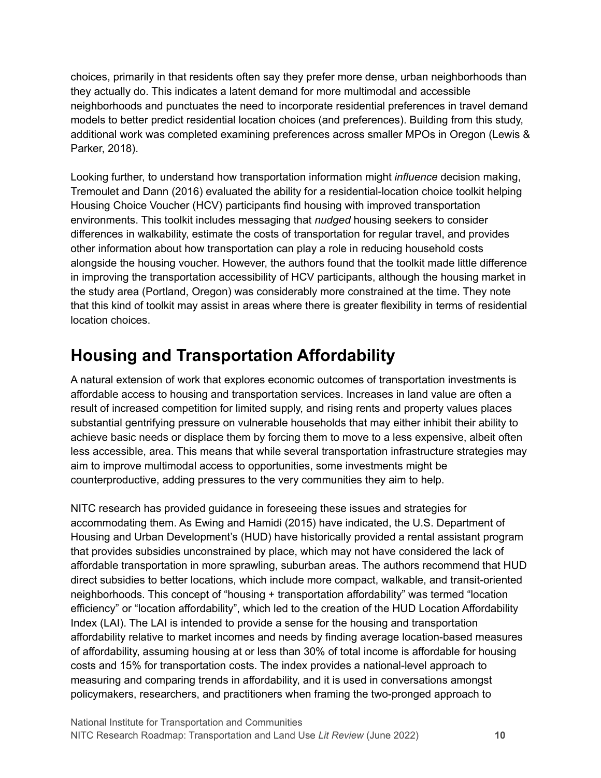choices, primarily in that residents often say they prefer more dense, urban neighborhoods than they actually do. This indicates a latent demand for more multimodal and accessible neighborhoods and punctuates the need to incorporate residential preferences in travel demand models to better predict residential location choices (and preferences). Building from this study, additional work was completed examining preferences across smaller MPOs in Oregon (Lewis & Parker, 2018).

Looking further, to understand how transportation information might *influence* decision making, Tremoulet and Dann (2016) evaluated the ability for a residential-location choice toolkit helping Housing Choice Voucher (HCV) participants find housing with improved transportation environments. This toolkit includes messaging that *nudged* housing seekers to consider differences in walkability, estimate the costs of transportation for regular travel, and provides other information about how transportation can play a role in reducing household costs alongside the housing voucher. However, the authors found that the toolkit made little difference in improving the transportation accessibility of HCV participants, although the housing market in the study area (Portland, Oregon) was considerably more constrained at the time. They note that this kind of toolkit may assist in areas where there is greater flexibility in terms of residential location choices.

### <span id="page-12-0"></span>**Housing and Transportation Affordability**

A natural extension of work that explores economic outcomes of transportation investments is affordable access to housing and transportation services. Increases in land value are often a result of increased competition for limited supply, and rising rents and property values places substantial gentrifying pressure on vulnerable households that may either inhibit their ability to achieve basic needs or displace them by forcing them to move to a less expensive, albeit often less accessible, area. This means that while several transportation infrastructure strategies may aim to improve multimodal access to opportunities, some investments might be counterproductive, adding pressures to the very communities they aim to help.

NITC research has provided guidance in foreseeing these issues and strategies for accommodating them. As Ewing and Hamidi (2015) have indicated, the U.S. Department of Housing and Urban Development's (HUD) have historically provided a rental assistant program that provides subsidies unconstrained by place, which may not have considered the lack of affordable transportation in more sprawling, suburban areas. The authors recommend that HUD direct subsidies to better locations, which include more compact, walkable, and transit-oriented neighborhoods. This concept of "housing + transportation affordability" was termed "location efficiency" or "location affordability", which led to the creation of the HUD Location Affordability Index (LAI). The LAI is intended to provide a sense for the housing and transportation affordability relative to market incomes and needs by finding average location-based measures of affordability, assuming housing at or less than 30% of total income is affordable for housing costs and 15% for transportation costs. The index provides a national-level approach to measuring and comparing trends in affordability, and it is used in conversations amongst policymakers, researchers, and practitioners when framing the two-pronged approach to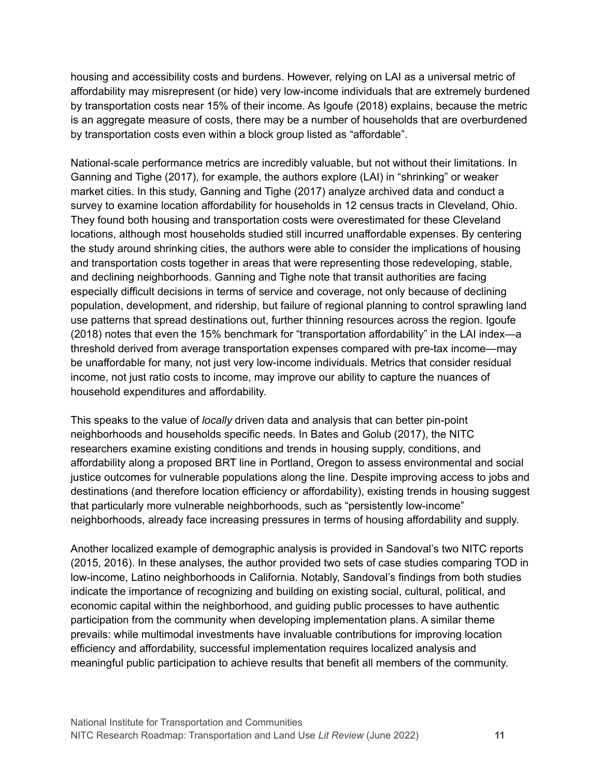housing and accessibility costs and burdens. However, relying on LAI as a universal metric of affordability may misrepresent (or hide) very low-income individuals that are extremely burdened by transportation costs near 15% of their income. As Igoufe (2018) explains, because the metric is an aggregate measure of costs, there may be a number of households that are overburdened by transportation costs even within a block group listed as "affordable".

National-scale performance metrics are incredibly valuable, but not without their limitations. In Ganning and Tighe (2017), for example, the authors explore (LAI) in "shrinking" or weaker market cities. In this study, Ganning and Tighe (2017) analyze archived data and conduct a survey to examine location affordability for households in 12 census tracts in Cleveland, Ohio. They found both housing and transportation costs were overestimated for these Cleveland locations, although most households studied still incurred unaffordable expenses. By centering the study around shrinking cities, the authors were able to consider the implications of housing and transportation costs together in areas that were representing those redeveloping, stable, and declining neighborhoods. Ganning and Tighe note that transit authorities are facing especially difficult decisions in terms of service and coverage, not only because of declining population, development, and ridership, but failure of regional planning to control sprawling land use patterns that spread destinations out, further thinning resources across the region. Igoufe (2018) notes that even the 15% benchmark for "transportation affordability" in the LAI index—a threshold derived from average transportation expenses compared with pre-tax income—may be unaffordable for many, not just very low-income individuals. Metrics that consider residual income, not just ratio costs to income, may improve our ability to capture the nuances of household expenditures and affordability.

This speaks to the value of *locally* driven data and analysis that can better pin-point neighborhoods and households specific needs. In Bates and Golub (2017), the NITC researchers examine existing conditions and trends in housing supply, conditions, and affordability along a proposed BRT line in Portland, Oregon to assess environmental and social justice outcomes for vulnerable populations along the line. Despite improving access to jobs and destinations (and therefore location efficiency or affordability), existing trends in housing suggest that particularly more vulnerable neighborhoods, such as "persistently low-income" neighborhoods, already face increasing pressures in terms of housing affordability and supply.

Another localized example of demographic analysis is provided in Sandoval's two NITC reports (2015, 2016). In these analyses, the author provided two sets of case studies comparing TOD in low-income, Latino neighborhoods in California. Notably, Sandoval's findings from both studies indicate the importance of recognizing and building on existing social, cultural, political, and economic capital within the neighborhood, and guiding public processes to have authentic participation from the community when developing implementation plans. A similar theme prevails: while multimodal investments have invaluable contributions for improving location efficiency and affordability, successful implementation requires localized analysis and meaningful public participation to achieve results that benefit all members of the community.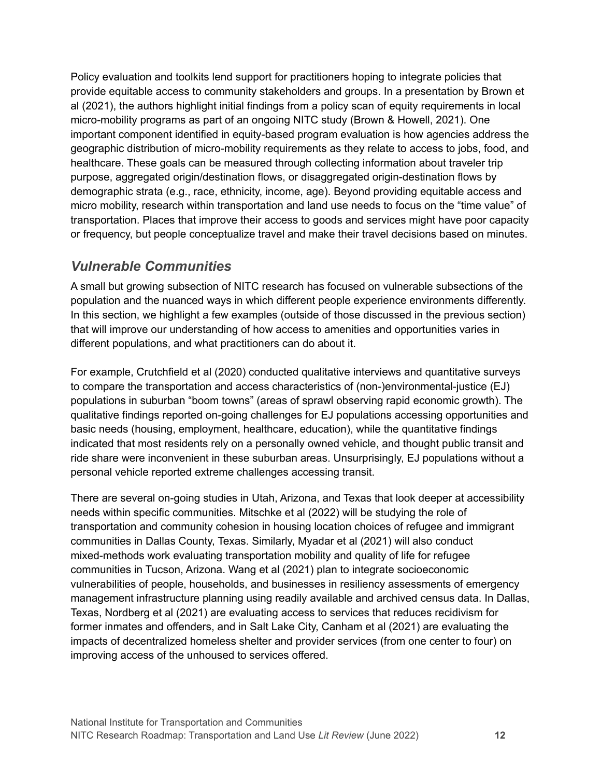Policy evaluation and toolkits lend support for practitioners hoping to integrate policies that provide equitable access to community stakeholders and groups. In a presentation by Brown et al (2021), the authors highlight initial findings from a policy scan of equity requirements in local micro-mobility programs as part of an ongoing NITC study (Brown & Howell, 2021). One important component identified in equity-based program evaluation is how agencies address the geographic distribution of micro-mobility requirements as they relate to access to jobs, food, and healthcare. These goals can be measured through collecting information about traveler trip purpose, aggregated origin/destination flows, or disaggregated origin-destination flows by demographic strata (e.g., race, ethnicity, income, age). Beyond providing equitable access and micro mobility, research within transportation and land use needs to focus on the "time value" of transportation. Places that improve their access to goods and services might have poor capacity or frequency, but people conceptualize travel and make their travel decisions based on minutes.

#### <span id="page-14-0"></span>*Vulnerable Communities*

A small but growing subsection of NITC research has focused on vulnerable subsections of the population and the nuanced ways in which different people experience environments differently. In this section, we highlight a few examples (outside of those discussed in the previous section) that will improve our understanding of how access to amenities and opportunities varies in different populations, and what practitioners can do about it.

For example, Crutchfield et al (2020) conducted qualitative interviews and quantitative surveys to compare the transportation and access characteristics of (non-)environmental-justice (EJ) populations in suburban "boom towns" (areas of sprawl observing rapid economic growth). The qualitative findings reported on-going challenges for EJ populations accessing opportunities and basic needs (housing, employment, healthcare, education), while the quantitative findings indicated that most residents rely on a personally owned vehicle, and thought public transit and ride share were inconvenient in these suburban areas. Unsurprisingly, EJ populations without a personal vehicle reported extreme challenges accessing transit.

There are several on-going studies in Utah, Arizona, and Texas that look deeper at accessibility needs within specific communities. Mitschke et al (2022) will be studying the role of transportation and community cohesion in housing location choices of refugee and immigrant communities in Dallas County, Texas. Similarly, Myadar et al (2021) will also conduct mixed-methods work evaluating transportation mobility and quality of life for refugee communities in Tucson, Arizona. Wang et al (2021) plan to integrate socioeconomic vulnerabilities of people, households, and businesses in resiliency assessments of emergency management infrastructure planning using readily available and archived census data. In Dallas, Texas, Nordberg et al (2021) are evaluating access to services that reduces recidivism for former inmates and offenders, and in Salt Lake City, Canham et al (2021) are evaluating the impacts of decentralized homeless shelter and provider services (from one center to four) on improving access of the unhoused to services offered.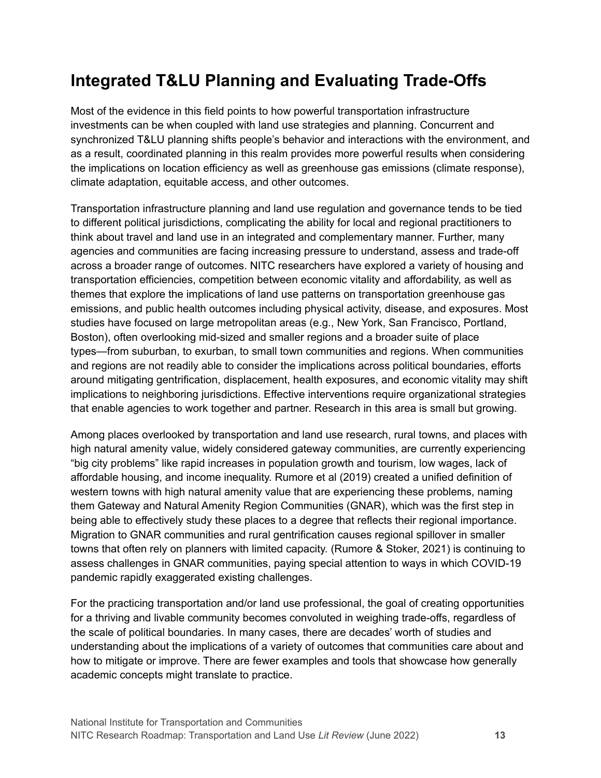### <span id="page-15-0"></span>**Integrated T&LU Planning and Evaluating Trade-Offs**

Most of the evidence in this field points to how powerful transportation infrastructure investments can be when coupled with land use strategies and planning. Concurrent and synchronized T&LU planning shifts people's behavior and interactions with the environment, and as a result, coordinated planning in this realm provides more powerful results when considering the implications on location efficiency as well as greenhouse gas emissions (climate response), climate adaptation, equitable access, and other outcomes.

Transportation infrastructure planning and land use regulation and governance tends to be tied to different political jurisdictions, complicating the ability for local and regional practitioners to think about travel and land use in an integrated and complementary manner. Further, many agencies and communities are facing increasing pressure to understand, assess and trade-off across a broader range of outcomes. NITC researchers have explored a variety of housing and transportation efficiencies, competition between economic vitality and affordability, as well as themes that explore the implications of land use patterns on transportation greenhouse gas emissions, and public health outcomes including physical activity, disease, and exposures. Most studies have focused on large metropolitan areas (e.g., New York, San Francisco, Portland, Boston), often overlooking mid-sized and smaller regions and a broader suite of place types—from suburban, to exurban, to small town communities and regions. When communities and regions are not readily able to consider the implications across political boundaries, efforts around mitigating gentrification, displacement, health exposures, and economic vitality may shift implications to neighboring jurisdictions. Effective interventions require organizational strategies that enable agencies to work together and partner. Research in this area is small but growing.

Among places overlooked by transportation and land use research, rural towns, and places with high natural amenity value, widely considered gateway communities, are currently experiencing "big city problems" like rapid increases in population growth and tourism, low wages, lack of affordable housing, and income inequality. Rumore et al (2019) created a unified definition of western towns with high natural amenity value that are experiencing these problems, naming them Gateway and Natural Amenity Region Communities (GNAR), which was the first step in being able to effectively study these places to a degree that reflects their regional importance. Migration to GNAR communities and rural gentrification causes regional spillover in smaller towns that often rely on planners with limited capacity. (Rumore & Stoker, 2021) is continuing to assess challenges in GNAR communities, paying special attention to ways in which COVID-19 pandemic rapidly exaggerated existing challenges.

For the practicing transportation and/or land use professional, the goal of creating opportunities for a thriving and livable community becomes convoluted in weighing trade-offs, regardless of the scale of political boundaries. In many cases, there are decades' worth of studies and understanding about the implications of a variety of outcomes that communities care about and how to mitigate or improve. There are fewer examples and tools that showcase how generally academic concepts might translate to practice.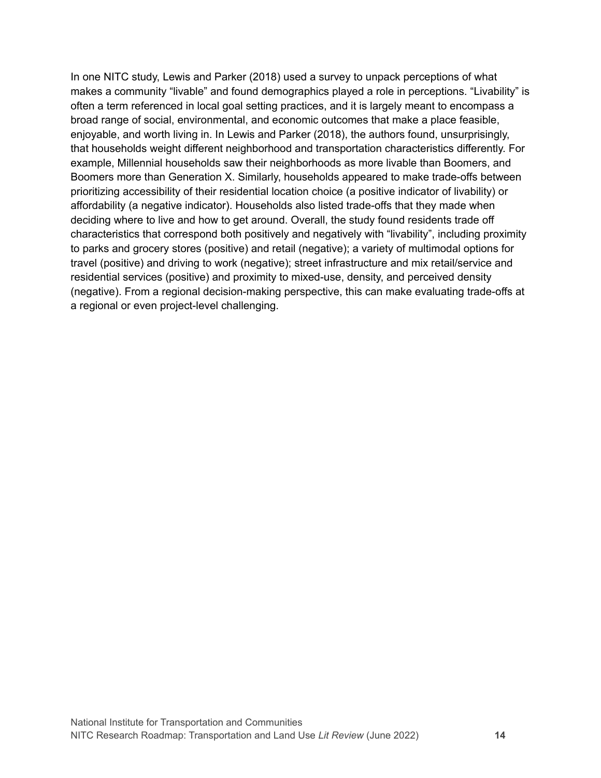In one NITC study, Lewis and Parker (2018) used a survey to unpack perceptions of what makes a community "livable" and found demographics played a role in perceptions. "Livability" is often a term referenced in local goal setting practices, and it is largely meant to encompass a broad range of social, environmental, and economic outcomes that make a place feasible, enjoyable, and worth living in. In Lewis and Parker (2018), the authors found, unsurprisingly, that households weight different neighborhood and transportation characteristics differently. For example, Millennial households saw their neighborhoods as more livable than Boomers, and Boomers more than Generation X. Similarly, households appeared to make trade-offs between prioritizing accessibility of their residential location choice (a positive indicator of livability) or affordability (a negative indicator). Households also listed trade-offs that they made when deciding where to live and how to get around. Overall, the study found residents trade off characteristics that correspond both positively and negatively with "livability", including proximity to parks and grocery stores (positive) and retail (negative); a variety of multimodal options for travel (positive) and driving to work (negative); street infrastructure and mix retail/service and residential services (positive) and proximity to mixed-use, density, and perceived density (negative). From a regional decision-making perspective, this can make evaluating trade-offs at a regional or even project-level challenging.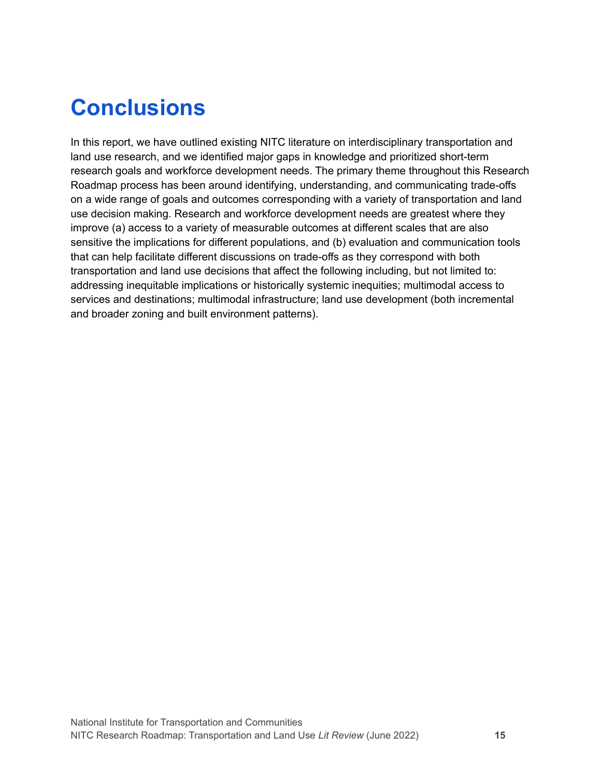### <span id="page-17-0"></span>**Conclusions**

In this report, we have outlined existing NITC literature on interdisciplinary transportation and land use research, and we identified major gaps in knowledge and prioritized short-term research goals and workforce development needs. The primary theme throughout this Research Roadmap process has been around identifying, understanding, and communicating trade-offs on a wide range of goals and outcomes corresponding with a variety of transportation and land use decision making. Research and workforce development needs are greatest where they improve (a) access to a variety of measurable outcomes at different scales that are also sensitive the implications for different populations, and (b) evaluation and communication tools that can help facilitate different discussions on trade-offs as they correspond with both transportation and land use decisions that affect the following including, but not limited to: addressing inequitable implications or historically systemic inequities; multimodal access to services and destinations; multimodal infrastructure; land use development (both incremental and broader zoning and built environment patterns).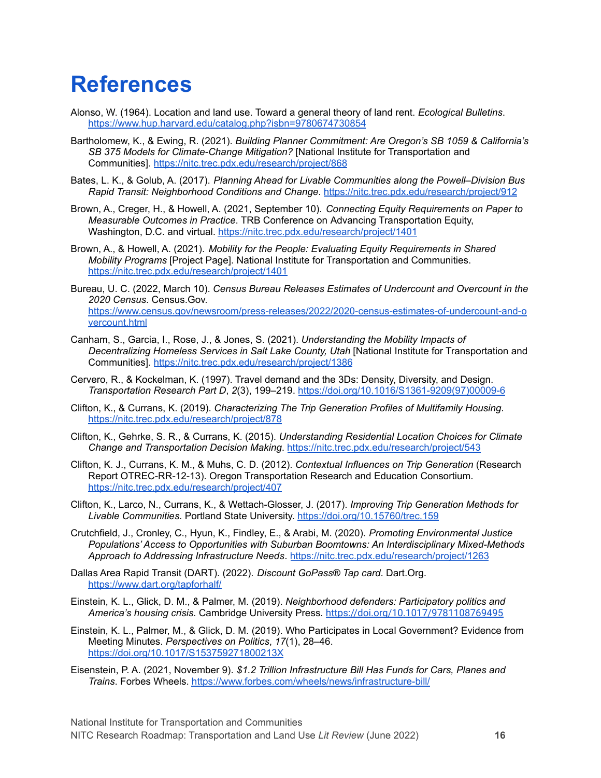### <span id="page-18-0"></span>**References**

- Alonso, W. (1964). Location and land use. Toward a general theory of land rent. *Ecological Bulletins*. <https://www.hup.harvard.edu/catalog.php?isbn=9780674730854>
- Bartholomew, K., & Ewing, R. (2021). *Building Planner Commitment: Are Oregon's SB 1059 & California's SB 375 Models for Climate-Change Mitigation?* [National Institute for Transportation and Communities]. <https://nitc.trec.pdx.edu/research/project/868>
- Bates, L. K., & Golub, A. (2017). *Planning Ahead for Livable Communities along the Powell–Division Bus Rapid Transit: Neighborhood Conditions and Change*. <https://nitc.trec.pdx.edu/research/project/912>
- Brown, A., Creger, H., & Howell, A. (2021, September 10). *Connecting Equity Requirements on Paper to Measurable Outcomes in Practice*. TRB Conference on Advancing Transportation Equity, Washington, D.C. and virtual. <https://nitc.trec.pdx.edu/research/project/1401>
- Brown, A., & Howell, A. (2021). *Mobility for the People: Evaluating Equity Requirements in Shared Mobility Programs* [Project Page]. National Institute for Transportation and Communities. <https://nitc.trec.pdx.edu/research/project/1401>
- Bureau, U. C. (2022, March 10). *Census Bureau Releases Estimates of Undercount and Overcount in the 2020 Census*. Census.Gov. [https://www.census.gov/newsroom/press-releases/2022/2020-census-estimates-of-undercount-and-o](https://www.census.gov/newsroom/press-releases/2022/2020-census-estimates-of-undercount-and-overcount.html) [vercount.html](https://www.census.gov/newsroom/press-releases/2022/2020-census-estimates-of-undercount-and-overcount.html)
- Canham, S., Garcia, I., Rose, J., & Jones, S. (2021). *Understanding the Mobility Impacts of Decentralizing Homeless Services in Salt Lake County, Utah* [National Institute for Transportation and Communities]. <https://nitc.trec.pdx.edu/research/project/1386>
- Cervero, R., & Kockelman, K. (1997). Travel demand and the 3Ds: Density, Diversity, and Design. *Transportation Research Part D*, *2*(3), 199–219. [https://doi.org/10.1016/S1361-9209\(97\)00009-6](https://doi.org/10.1016/S1361-9209(97)00009-6)
- Clifton, K., & Currans, K. (2019). *Characterizing The Trip Generation Profiles of Multifamily Housing*. <https://nitc.trec.pdx.edu/research/project/878>
- Clifton, K., Gehrke, S. R., & Currans, K. (2015). *Understanding Residential Location Choices for Climate Change and Transportation Decision Making*. <https://nitc.trec.pdx.edu/research/project/543>
- Clifton, K. J., Currans, K. M., & Muhs, C. D. (2012). *Contextual Influences on Trip Generation* (Research Report OTREC-RR-12-13). Oregon Transportation Research and Education Consortium. <https://nitc.trec.pdx.edu/research/project/407>
- Clifton, K., Larco, N., Currans, K., & Wettach-Glosser, J. (2017). *Improving Trip Generation Methods for Livable Communities*. Portland State University. <https://doi.org/10.15760/trec.159>
- Crutchfield, J., Cronley, C., Hyun, K., Findley, E., & Arabi, M. (2020). *Promoting Environmental Justice Populations' Access to Opportunities with Suburban Boomtowns: An Interdisciplinary Mixed-Methods Approach to Addressing Infrastructure Needs*. <https://nitc.trec.pdx.edu/research/project/1263>
- Dallas Area Rapid Transit (DART). (2022). *Discount GoPass® Tap card*. Dart.Org. <https://www.dart.org/tapforhalf/>
- Einstein, K. L., Glick, D. M., & Palmer, M. (2019). *Neighborhood defenders: Participatory politics and America's housing crisis*. Cambridge University Press. <https://doi.org/10.1017/9781108769495>
- Einstein, K. L., Palmer, M., & Glick, D. M. (2019). Who Participates in Local Government? Evidence from Meeting Minutes. *Perspectives on Politics*, *17*(1), 28–46. <https://doi.org/10.1017/S153759271800213X>
- Eisenstein, P. A. (2021, November 9). *\$1.2 Trillion Infrastructure Bill Has Funds for Cars, Planes and Trains*. Forbes Wheels. <https://www.forbes.com/wheels/news/infrastructure-bill/>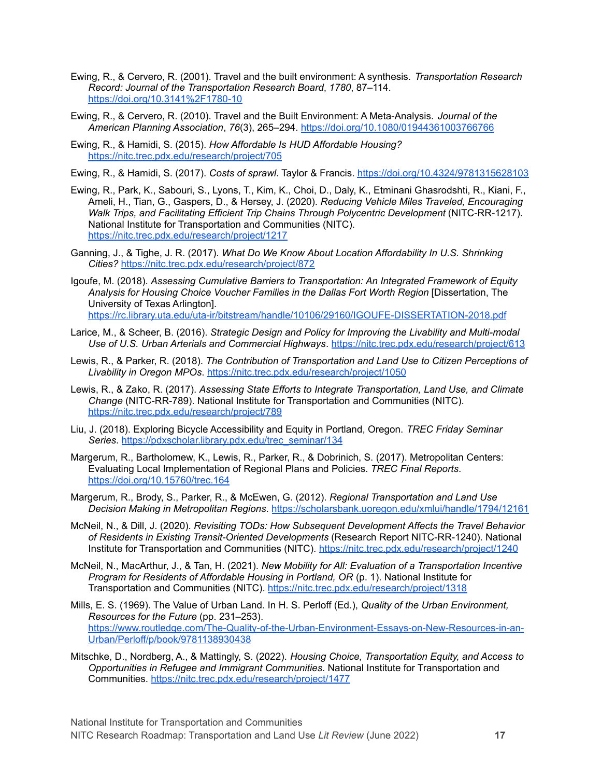- Ewing, R., & Cervero, R. (2001). Travel and the built environment: A synthesis. *Transportation Research Record: Journal of the Transportation Research Board*, *1780*, 87–114. <https://doi.org/10.3141%2F1780-10>
- Ewing, R., & Cervero, R. (2010). Travel and the Built Environment: A Meta-Analysis. *Journal of the American Planning Association*, *76*(3), 265–294. <https://doi.org/10.1080/01944361003766766>
- Ewing, R., & Hamidi, S. (2015). *How Affordable Is HUD Affordable Housing?* <https://nitc.trec.pdx.edu/research/project/705>
- Ewing, R., & Hamidi, S. (2017). *Costs of sprawl*. Taylor & Francis. <https://doi.org/10.4324/9781315628103>
- Ewing, R., Park, K., Sabouri, S., Lyons, T., Kim, K., Choi, D., Daly, K., Etminani Ghasrodshti, R., Kiani, F., Ameli, H., Tian, G., Gaspers, D., & Hersey, J. (2020). *Reducing Vehicle Miles Traveled, Encouraging Walk Trips, and Facilitating Efficient Trip Chains Through Polycentric Development* (NITC-RR-1217). National Institute for Transportation and Communities (NITC). <https://nitc.trec.pdx.edu/research/project/1217>
- Ganning, J., & Tighe, J. R. (2017). *What Do We Know About Location Affordability In U.S. Shrinking Cities?* <https://nitc.trec.pdx.edu/research/project/872>
- Igoufe, M. (2018). *Assessing Cumulative Barriers to Transportation: An Integrated Framework of Equity Analysis for Housing Choice Voucher Families in the Dallas Fort Worth Region* [Dissertation, The University of Texas Arlington]. <https://rc.library.uta.edu/uta-ir/bitstream/handle/10106/29160/IGOUFE-DISSERTATION-2018.pdf>
- Larice, M., & Scheer, B. (2016). *Strategic Design and Policy for Improving the Livability and Multi-modal Use of U.S. Urban Arterials and Commercial Highways*. <https://nitc.trec.pdx.edu/research/project/613>
- Lewis, R., & Parker, R. (2018). *The Contribution of Transportation and Land Use to Citizen Perceptions of Livability in Oregon MPOs*. <https://nitc.trec.pdx.edu/research/project/1050>
- Lewis, R., & Zako, R. (2017). *Assessing State Efforts to Integrate Transportation, Land Use, and Climate Change* (NITC-RR-789). National Institute for Transportation and Communities (NITC). <https://nitc.trec.pdx.edu/research/project/789>
- Liu, J. (2018). Exploring Bicycle Accessibility and Equity in Portland, Oregon. *TREC Friday Seminar Series*. [https://pdxscholar.library.pdx.edu/trec\\_seminar/134](https://pdxscholar.library.pdx.edu/trec_seminar/134)
- Margerum, R., Bartholomew, K., Lewis, R., Parker, R., & Dobrinich, S. (2017). Metropolitan Centers: Evaluating Local Implementation of Regional Plans and Policies. *TREC Final Reports*. <https://doi.org/10.15760/trec.164>
- Margerum, R., Brody, S., Parker, R., & McEwen, G. (2012). *Regional Transportation and Land Use Decision Making in Metropolitan Regions*. <https://scholarsbank.uoregon.edu/xmlui/handle/1794/12161>
- McNeil, N., & Dill, J. (2020). *Revisiting TODs: How Subsequent Development Affects the Travel Behavior of Residents in Existing Transit-Oriented Developments* (Research Report NITC-RR-1240). National Institute for Transportation and Communities (NITC). <https://nitc.trec.pdx.edu/research/project/1240>
- McNeil, N., MacArthur, J., & Tan, H. (2021). *New Mobility for All: Evaluation of a Transportation Incentive Program for Residents of Affordable Housing in Portland, OR* (p. 1). National Institute for Transportation and Communities (NITC). <https://nitc.trec.pdx.edu/research/project/1318>
- Mills, E. S. (1969). The Value of Urban Land. In H. S. Perloff (Ed.), *Quality of the Urban Environment, Resources for the Future* (pp. 231–253). [https://www.routledge.com/The-Quality-of-the-Urban-Environment-Essays-on-New-Resources-in-an-](https://www.routledge.com/The-Quality-of-the-Urban-Environment-Essays-on-New-Resources-in-an-Urban/Perloff/p/book/9781138930438)[Urban/Perloff/p/book/9781138930438](https://www.routledge.com/The-Quality-of-the-Urban-Environment-Essays-on-New-Resources-in-an-Urban/Perloff/p/book/9781138930438)
- Mitschke, D., Nordberg, A., & Mattingly, S. (2022). *Housing Choice, Transportation Equity, and Access to Opportunities in Refugee and Immigrant Communities*. National Institute for Transportation and Communities. <https://nitc.trec.pdx.edu/research/project/1477>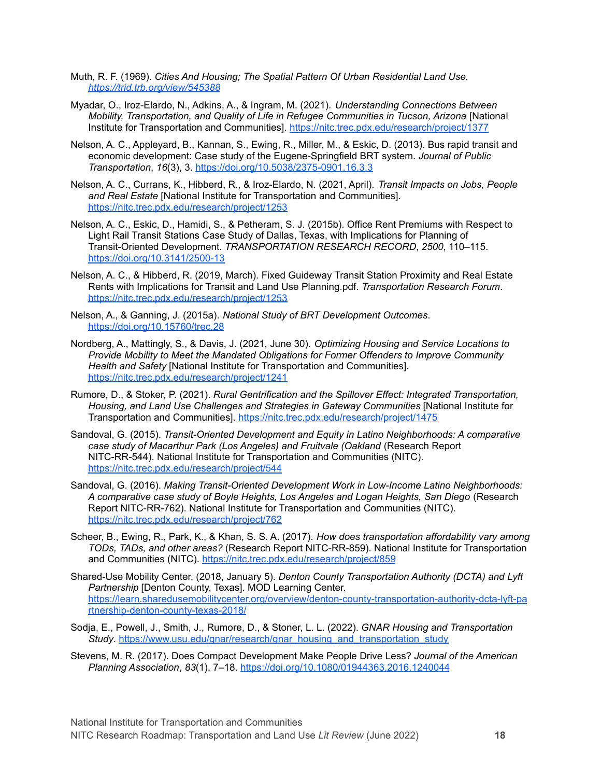- Muth, R. F. (1969). *Cities And Housing; The Spatial Pattern Of Urban Residential Land Use. <https://trid.trb.org/view/545388>*
- Myadar, O., Iroz-Elardo, N., Adkins, A., & Ingram, M. (2021). *Understanding Connections Between Mobility, Transportation, and Quality of Life in Refugee Communities in Tucson, Arizona* [National Institute for Transportation and Communities]. <https://nitc.trec.pdx.edu/research/project/1377>
- Nelson, A. C., Appleyard, B., Kannan, S., Ewing, R., Miller, M., & Eskic, D. (2013). Bus rapid transit and economic development: Case study of the Eugene-Springfield BRT system. *Journal of Public Transportation*, *16*(3), 3. <https://doi.org/10.5038/2375-0901.16.3.3>
- Nelson, A. C., Currans, K., Hibberd, R., & Iroz-Elardo, N. (2021, April). *Transit Impacts on Jobs, People and Real Estate* [National Institute for Transportation and Communities]. <https://nitc.trec.pdx.edu/research/project/1253>
- Nelson, A. C., Eskic, D., Hamidi, S., & Petheram, S. J. (2015b). Office Rent Premiums with Respect to Light Rail Transit Stations Case Study of Dallas, Texas, with Implications for Planning of Transit-Oriented Development. *TRANSPORTATION RESEARCH RECORD*, *2500*, 110–115. <https://doi.org/10.3141/2500-13>
- Nelson, A. C., & Hibberd, R. (2019, March). Fixed Guideway Transit Station Proximity and Real Estate Rents with Implications for Transit and Land Use Planning.pdf. *Transportation Research Forum*. <https://nitc.trec.pdx.edu/research/project/1253>
- Nelson, A., & Ganning, J. (2015a). *National Study of BRT Development Outcomes*. <https://doi.org/10.15760/trec.28>
- Nordberg, A., Mattingly, S., & Davis, J. (2021, June 30). *Optimizing Housing and Service Locations to Provide Mobility to Meet the Mandated Obligations for Former Offenders to Improve Community Health and Safety* [National Institute for Transportation and Communities]. <https://nitc.trec.pdx.edu/research/project/1241>
- Rumore, D., & Stoker, P. (2021). *Rural Gentrification and the Spillover Effect: Integrated Transportation, Housing, and Land Use Challenges and Strategies in Gateway Communities* [National Institute for Transportation and Communities]. <https://nitc.trec.pdx.edu/research/project/1475>
- Sandoval, G. (2015). *Transit-Oriented Development and Equity in Latino Neighborhoods: A comparative case study of Macarthur Park (Los Angeles) and Fruitvale (Oakland* (Research Report NITC-RR-544). National Institute for Transportation and Communities (NITC). <https://nitc.trec.pdx.edu/research/project/544>
- Sandoval, G. (2016). *Making Transit-Oriented Development Work in Low-Income Latino Neighborhoods: A comparative case study of Boyle Heights, Los Angeles and Logan Heights, San Diego* (Research Report NITC-RR-762). National Institute for Transportation and Communities (NITC). <https://nitc.trec.pdx.edu/research/project/762>
- Scheer, B., Ewing, R., Park, K., & Khan, S. S. A. (2017). *How does transportation affordability vary among TODs, TADs, and other areas?* (Research Report NITC-RR-859). National Institute for Transportation and Communities (NITC). <https://nitc.trec.pdx.edu/research/project/859>
- Shared-Use Mobility Center. (2018, January 5). *Denton County Transportation Authority (DCTA) and Lyft Partnership* [Denton County, Texas]. MOD Learning Center. [https://learn.sharedusemobilitycenter.org/overview/denton-county-transportation-authority-dcta-lyft-pa](https://learn.sharedusemobilitycenter.org/overview/denton-county-transportation-authority-dcta-lyft-partnership-denton-county-texas-2018/) [rtnership-denton-county-texas-2018/](https://learn.sharedusemobilitycenter.org/overview/denton-county-transportation-authority-dcta-lyft-partnership-denton-county-texas-2018/)
- Sodja, E., Powell, J., Smith, J., Rumore, D., & Stoner, L. L. (2022). *GNAR Housing and Transportation Study*. [https://www.usu.edu/gnar/research/gnar\\_housing\\_and\\_transportation\\_study](https://www.usu.edu/gnar/research/gnar_housing_and_transportation_study)
- Stevens, M. R. (2017). Does Compact Development Make People Drive Less? *Journal of the American Planning Association*, *83*(1), 7–18. <https://doi.org/10.1080/01944363.2016.1240044>